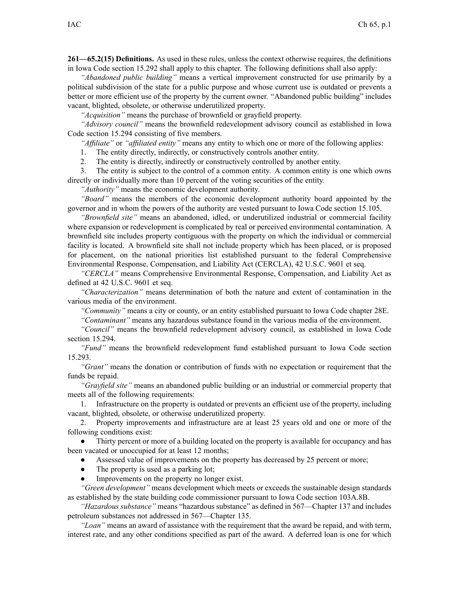**261—65.2(15) Definitions.** As used in these rules, unless the context otherwise requires, the definitions in Iowa Code section [15.292](https://www.legis.iowa.gov/docs/ico/section/15.292.pdf) shall apply to this chapter. The following definitions shall also apply:

*"Abandoned public building"* means <sup>a</sup> vertical improvement constructed for use primarily by <sup>a</sup> political subdivision of the state for <sup>a</sup> public purpose and whose current use is outdated or prevents <sup>a</sup> better or more efficient use of the property by the current owner. "Abandoned public building" includes vacant, blighted, obsolete, or otherwise underutilized property.

*"Acquisition"* means the purchase of brownfield or grayfield property.

*"Advisory council"* means the brownfield redevelopment advisory council as established in Iowa Code section [15.294](https://www.legis.iowa.gov/docs/ico/section/15.294.pdf) consisting of five members.

*"Affiliate"* or *"affiliated entity"* means any entity to which one or more of the following applies:

1. The entity directly, indirectly, or constructively controls another entity.

2. The entity is directly, indirectly or constructively controlled by another entity.

3. The entity is subject to the control of <sup>a</sup> common entity. A common entity is one which owns directly or individually more than 10 percen<sup>t</sup> of the voting securities of the entity.

*"Authority"* means the economic development authority.

*"Board"* means the members of the economic development authority board appointed by the governor and in whom the powers of the authority are vested pursuan<sup>t</sup> to Iowa Code section [15.105](https://www.legis.iowa.gov/docs/ico/section/15.105.pdf).

*"Brownfield site"* means an abandoned, idled, or underutilized industrial or commercial facility where expansion or redevelopment is complicated by real or perceived environmental contamination. A brownfield site includes property contiguous with the property on which the individual or commercial facility is located. A brownfield site shall not include property which has been placed, or is proposed for placement, on the national priorities list established pursuan<sup>t</sup> to the federal Comprehensive Environmental Response, Compensation, and Liability Act (CERCLA), 42 U.S.C. 9601 et seq.

*"CERCLA"* means Comprehensive Environmental Response, Compensation, and Liability Act as defined at 42 U.S.C. 9601 et seq.

*"Characterization"* means determination of both the nature and extent of contamination in the various media of the environment.

*"Community"* means <sup>a</sup> city or county, or an entity established pursuan<sup>t</sup> to Iowa Code chapter [28E](https://www.legis.iowa.gov/docs/ico/chapter/28E.pdf).

*"Contaminant"* means any hazardous substance found in the various media of the environment.

*"Council"* means the brownfield redevelopment advisory council, as established in Iowa Code section [15.294](https://www.legis.iowa.gov/docs/ico/section/15.294.pdf).

*"Fund"* means the brownfield redevelopment fund established pursuan<sup>t</sup> to Iowa Code section [15.293](https://www.legis.iowa.gov/docs/ico/section/15.293.pdf).

*"Grant"* means the donation or contribution of funds with no expectation or requirement that the funds be repaid.

*"Grayfield site"* means an abandoned public building or an industrial or commercial property that meets all of the following requirements:

1. Infrastructure on the property is outdated or prevents an efficient use of the property, including vacant, blighted, obsolete, or otherwise underutilized property.

2. Property improvements and infrastructure are at least 25 years old and one or more of the following conditions exist:

● Thirty percen<sup>t</sup> or more of <sup>a</sup> building located on the property is available for occupancy and has been vacated or unoccupied for at least 12 months;

 $\bullet$ Assessed value of improvements on the property has decreased by 25 percen<sup>t</sup> or more;

- ●The property is used as <sup>a</sup> parking lot;
- ●Improvements on the property no longer exist.

*"Green development"* means development which meets or exceeds the sustainable design standards as established by the state building code commissioner pursuan<sup>t</sup> to Iowa Code section [103A.8B](https://www.legis.iowa.gov/docs/ico/section/103A.8B.pdf).

*"Hazardous substance"* means "hazardous substance" as defined in [567—Chapter](https://www.legis.iowa.gov/docs/iac/chapter/567.137.pdf) 137 and includes petroleum substances not addressed in [567—Chapter](https://www.legis.iowa.gov/docs/iac/chapter/567.135.pdf) 135.

*"Loan"* means an award of assistance with the requirement that the award be repaid, and with term, interest rate, and any other conditions specified as par<sup>t</sup> of the award. A deferred loan is one for which